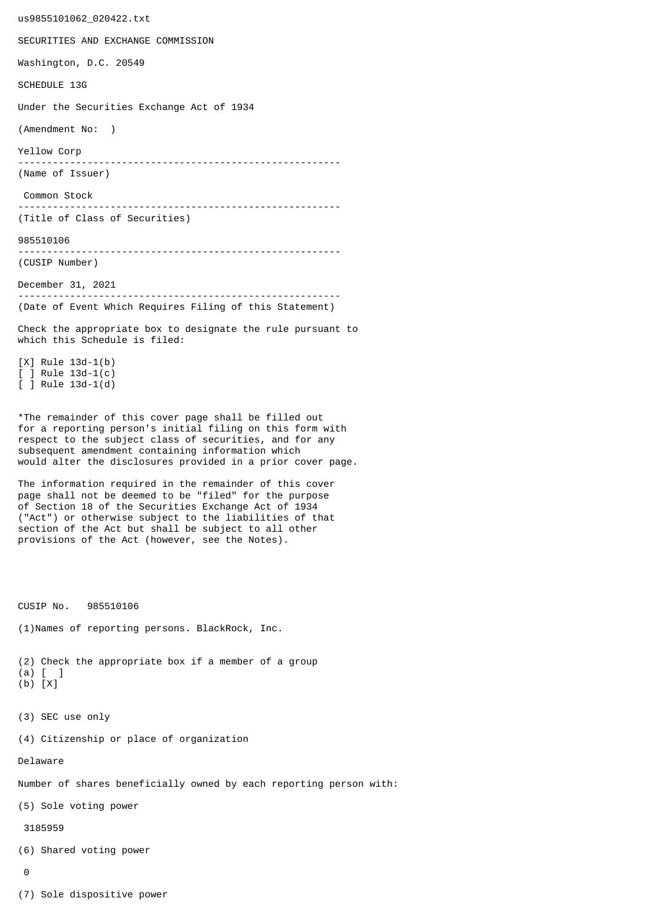us9855101062\_020422.txt SECURITIES AND EXCHANGE COMMISSION Washington, D.C. 20549 SCHEDULE 13G Under the Securities Exchange Act of 1934 (Amendment No: ) Yellow Corp -------------------------------------------------------- (Name of Issuer) Common Stock -------------------------------------------------------- (Title of Class of Securities) 985510106 -------------------------------------------------------- (CUSIP Number) December 31, 2021 -------------------------------------------------------- (Date of Event Which Requires Filing of this Statement) Check the appropriate box to designate the rule pursuant to which this Schedule is filed: [X] Rule 13d-1(b) [ ] Rule 13d-1(c) [ ] Rule 13d-1(d) \*The remainder of this cover page shall be filled out for a reporting person's initial filing on this form with respect to the subject class of securities, and for any subsequent amendment containing information which would alter the disclosures provided in a prior cover page. The information required in the remainder of this cover page shall not be deemed to be "filed" for the purpose of Section 18 of the Securities Exchange Act of 1934 ("Act") or otherwise subject to the liabilities of that section of the Act but shall be subject to all other provisions of the Act (however, see the Notes). CUSIP No. 985510106 (1)Names of reporting persons. BlackRock, Inc. (2) Check the appropriate box if a member of a group (a) [ ] (b) [X] (3) SEC use only (4) Citizenship or place of organization Delaware Number of shares beneficially owned by each reporting person with: (5) Sole voting power 3185959 (6) Shared voting power  $\Omega$ 

(7) Sole dispositive power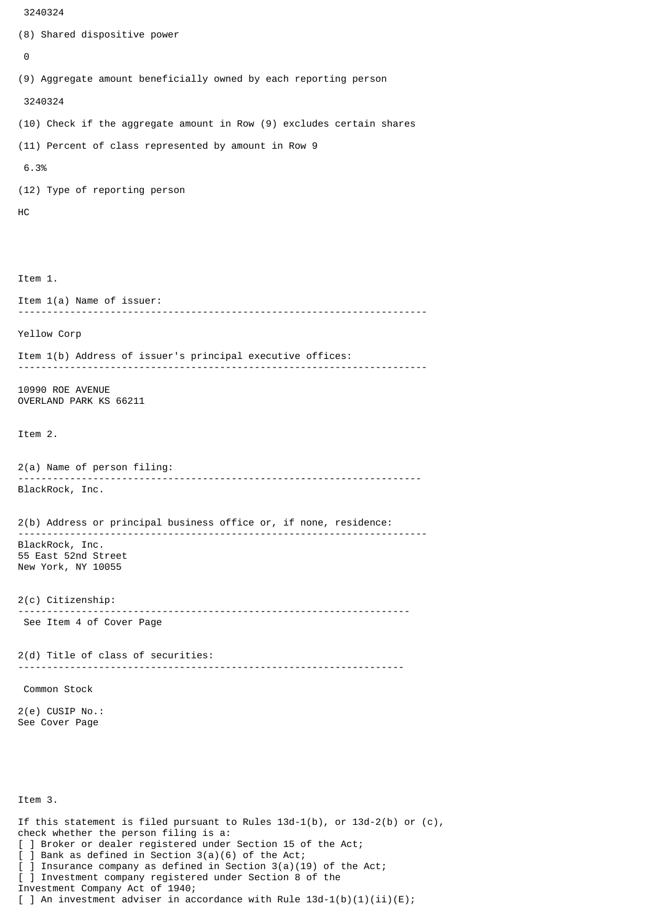```
 3240324
(8) Shared dispositive power
 \boldsymbol{\Theta}(9) Aggregate amount beneficially owned by each reporting person
  3240324
(10) Check if the aggregate amount in Row (9) excludes certain shares
(11) Percent of class represented by amount in Row 9
 6.3%
(12) Type of reporting person
HC
Item 1.
Item 1(a) Name of issuer:
            -----------------------------------------------------------------------
Yellow Corp
Item 1(b) Address of issuer's principal executive offices:
 -----------------------------------------------------------------------
10990 ROE AVENUE
OVERLAND PARK KS 66211
Item 2.
2(a) Name of person filing:
               ----------------------------------------------------------------------
BlackRock, Inc.
2(b) Address or principal business office or, if none, residence:
 -----------------------------------------------------------------------
BlackRock, Inc.
55 East 52nd Street
New York, NY 10055
2(c) Citizenship:
                            --------------------------------------------------------------------
 See Item 4 of Cover Page
2(d) Title of class of securities:
                                       -------------------------------------------------------------------
 Common Stock
2(e) CUSIP No.:
See Cover Page
Item 3.
If this statement is filed pursuant to Rules 13d-1(b), or 13d-2(b) or (c),
check whether the person filing is a:
```

```
[ ] Broker or dealer registered under Section 15 of the Act;
```

```
[ ] Bank as defined in Section 3(a)(6) of the Act;
```
] Insurance company as defined in Section  $3(a)(19)$  of the Act; [ ] Investment company registered under Section 8 of the

```
Investment Company Act of 1940;
```
[ ] An investment adviser in accordance with Rule  $13d-1(b)(1)(ii)(E)$ ;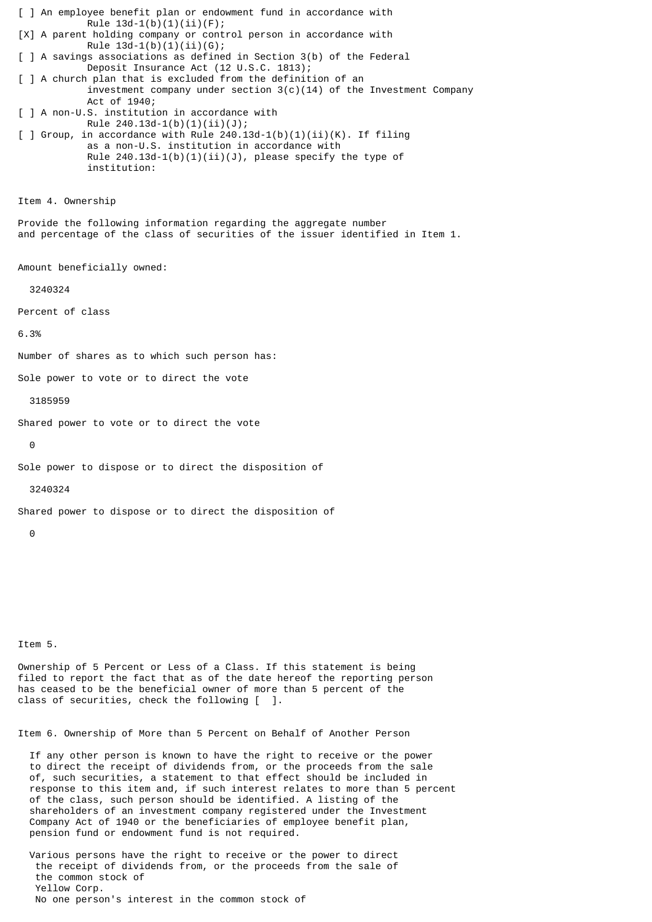[ ] An employee benefit plan or endowment fund in accordance with Rule  $13d-1(b)(1)(ii)(F);$ [X] A parent holding company or control person in accordance with Rule  $13d-1(b)(1)(ii)(G);$ [ ] A savings associations as defined in Section 3(b) of the Federal Deposit Insurance Act (12 U.S.C. 1813); [ ] A church plan that is excluded from the definition of an investment company under section  $3(c)(14)$  of the Investment Company Act of 1940; [ ] A non-U.S. institution in accordance with Rule 240.13d-1(b)(1)(ii)(J);  $\lceil$  ] Group, in accordance with Rule 240.13d-1(b)(1)(ii)(K). If filing as a non-U.S. institution in accordance with Rule  $240.13d-1(b)(1)(ii)(J)$ , please specify the type of institution: Item 4. Ownership Provide the following information regarding the aggregate number and percentage of the class of securities of the issuer identified in Item 1. Amount beneficially owned: 3240324 Percent of class 6.3% Number of shares as to which such person has: Sole power to vote or to direct the vote 3185959 Shared power to vote or to direct the vote

 $\Theta$ 

Sole power to dispose or to direct the disposition of

3240324

Shared power to dispose or to direct the disposition of

 $\Omega$ 

Item 5.

Ownership of 5 Percent or Less of a Class. If this statement is being filed to report the fact that as of the date hereof the reporting person has ceased to be the beneficial owner of more than 5 percent of the class of securities, check the following [ ].

Item 6. Ownership of More than 5 Percent on Behalf of Another Person

 If any other person is known to have the right to receive or the power to direct the receipt of dividends from, or the proceeds from the sale of, such securities, a statement to that effect should be included in response to this item and, if such interest relates to more than 5 percent of the class, such person should be identified. A listing of the shareholders of an investment company registered under the Investment Company Act of 1940 or the beneficiaries of employee benefit plan, pension fund or endowment fund is not required.

 Various persons have the right to receive or the power to direct the receipt of dividends from, or the proceeds from the sale of the common stock of Yellow Corp. No one person's interest in the common stock of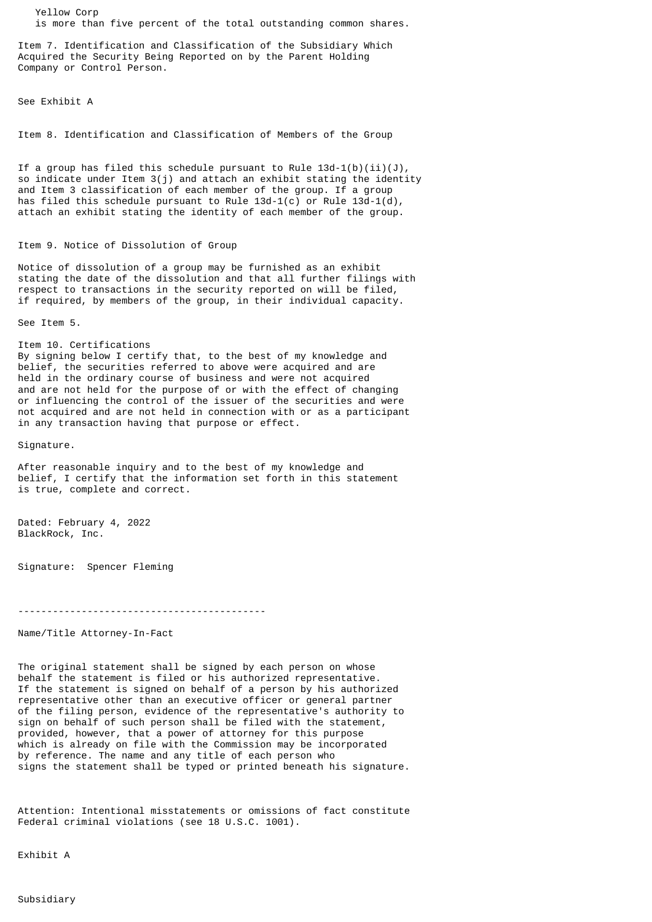Yellow Corp is more than five percent of the total outstanding common shares.

Item 7. Identification and Classification of the Subsidiary Which Acquired the Security Being Reported on by the Parent Holding Company or Control Person.

See Exhibit A

Item 8. Identification and Classification of Members of the Group

If a group has filed this schedule pursuant to Rule  $13d-1(b)(ii)(J)$ , so indicate under Item 3(j) and attach an exhibit stating the identity and Item 3 classification of each member of the group. If a group has filed this schedule pursuant to Rule  $13d-1(c)$  or Rule  $13d-1(d)$ , attach an exhibit stating the identity of each member of the group.

## Item 9. Notice of Dissolution of Group

Notice of dissolution of a group may be furnished as an exhibit stating the date of the dissolution and that all further filings with respect to transactions in the security reported on will be filed, if required, by members of the group, in their individual capacity.

See Item 5.

Item 10. Certifications By signing below I certify that, to the best of my knowledge and belief, the securities referred to above were acquired and are held in the ordinary course of business and were not acquired and are not held for the purpose of or with the effect of changing or influencing the control of the issuer of the securities and were not acquired and are not held in connection with or as a participant in any transaction having that purpose or effect.

Signature.

After reasonable inquiry and to the best of my knowledge and belief, I certify that the information set forth in this statement is true, complete and correct.

Dated: February 4, 2022 BlackRock, Inc.

Signature: Spencer Fleming

-------------------------------------------

Name/Title Attorney-In-Fact

The original statement shall be signed by each person on whose behalf the statement is filed or his authorized representative. If the statement is signed on behalf of a person by his authorized representative other than an executive officer or general partner of the filing person, evidence of the representative's authority to sign on behalf of such person shall be filed with the statement, provided, however, that a power of attorney for this purpose which is already on file with the Commission may be incorporated by reference. The name and any title of each person who signs the statement shall be typed or printed beneath his signature.

Attention: Intentional misstatements or omissions of fact constitute Federal criminal violations (see 18 U.S.C. 1001).

Exhibit A